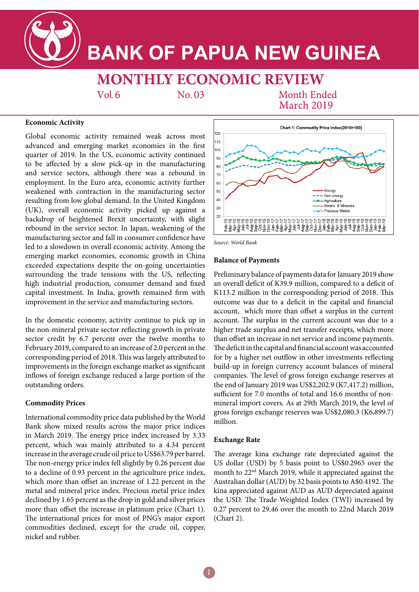

# **BANK OF PAPUA NEW GUINEA**

**MONTHLY ECONOMIC REVIEW** 

 $Vol.6$ 

 $No. 03$ 

**Month Ended March 2019** 

## **Economic Activity**

Global economic activity remained weak across most advanced and emerging market economies in the first quarter of 2019. In the US, economic activity continued to be affected by a slow pick-up in the manufacturing and service sectors, although there was a rebound in employment. In the Euro area, economic activity further weakened with contraction in the manufacturing sector resulting from low global demand. In the United Kingdom (UK), overall economic activity picked up against a backdrop of heightened Brexit uncertainty, with slight rebound in the service sector. In Japan, weakening of the manufacturing sector and fall in consumer confidence have led to a slowdown in overall economic activity. Among the emerging market economies, economic growth in China exceeded expectations despite the on-going uncertainties surrounding the trade tensions with the US, reflecting high industrial production, consumer demand and fixed capital investment. In India, growth remained firm with improvement in the service and manufacturing sectors.

In the domestic economy, activity continue to pick up in the non-mineral private sector reflecting growth in private sector credit by 6.7 percent over the twelve months to February 2019, compared to an increase of 2.0 percent in the corresponding period of 2018. This was largely attributed to improvements in the foreign exchange market as significant inflows of foreign exchange reduced a large portion of the outstanding orders.

## **Commodity Prices**

International commodity price data published by the World Bank show mixed results across the major price indices in March 2019. The energy price index increased by 3.33 percent, which was mainly attributed to a 4.34 percent increase in the average crude oil price to US\$63.79 per barrel. The non-energy price index fell slightly by 0.26 percent due to a decline of 0.93 percent in the agriculture price index, which more than offset an increase of 1.22 percent in the metal and mineral price index. Precious metal price index declined by 1.65 percent as the drop in gold and silver prices more than offset the increase in platinum price (Chart 1). The international prices for most of PNG's major export commodities declined, except for the crude oil, copper, nickel and rubber.



*Source: World Bank*

#### **Balance of Payments**

Preliminary balance of payments data for January 2019 show an overall deficit of K39.9 million, compared to a deficit of K113.2 million in the corresponding period of 2018. This outcome was due to a deficit in the capital and financial account, which more than offset a surplus in the current account. The surplus in the current account was due to a higher trade surplus and net transfer receipts, which more than offset an increase in net service and income payments. The deficit in the capital and financial account was accounted for by a higher net outflow in other investments reflecting build-up in foreign currency account balances of mineral companies. The level of gross foreign exchange reserves at the end of January 2019 was US\$2,202.9 (K7,417.2) million, sufficient for 7.0 months of total and 16.6 months of nonmineral import covers. As at 29th March 2019, the level of gross foreign exchange reserves was US\$2,080.3 (K6,899.7) million.

#### **Exchange Rate**

The average kina exchange rate depreciated against the US dollar (USD) by 5 basis point to US\$0.2965 over the month to 22nd March 2019, while it appreciated against the Australian dollar (AUD) by 32 basis points to A\$0.4192. The kina appreciated against AUD as AUD depreciated against the USD. The Trade Weighted Index (TWI) increased by 0.27 percent to 29.46 over the month to 22nd March 2019 (Chart 2).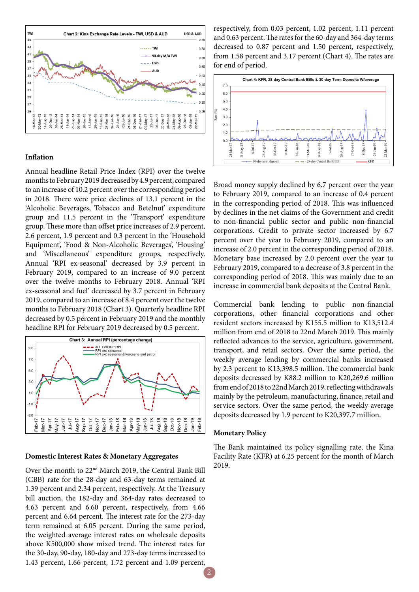

## **Inflation**

Annual headline Retail Price Index (RPI) over the twelve months to February 2019 decreased by 4.9 percent, compared to an increase of 10.2 percent over the corresponding period in 2018. There were price declines of 13.1 percent in the 'Alcoholic Beverages, Tobacco and Betelnut' expenditure group and 11.5 percent in the 'Transport' expenditure group. These more than offset price increases of 2.9 percent, 2.6 percent, 1.9 percent and 0.3 percent in the 'Household Equipment', 'Food & Non-Alcoholic Beverages', 'Housing' and 'Miscellaneous' expenditure groups, respectively. Annual 'RPI ex-seasonal' decreased by 3.9 percent in February 2019, compared to an increase of 9.0 percent over the twelve months to February 2018. Annual 'RPI ex-seasonal and fuel' decreased by 3.7 percent in February 2019, compared to an increase of 8.4 percent over the twelve months to February 2018 (Chart 3). Quarterly headline RPI decreased by 0.5 percent in February 2019 and the monthly headline RPI for February 2019 decreased by 0.5 percent.



#### **Domestic Interest Rates & Monetary Aggregates**

Over the month to 22nd March 2019, the Central Bank Bill (CBB) rate for the 28-day and 63-day terms remained at 1.39 percent and 2.34 percent, respectively. At the Treasury bill auction, the 182-day and 364-day rates decreased to 4.63 percent and 6.60 percent, respectively, from 4.66 percent and 6.64 percent. The interest rate for the 273-day term remained at 6.05 percent. During the same period, the weighted average interest rates on wholesale deposits above K500,000 show mixed trend. The interest rates for the 30-day, 90-day, 180-day and 273-day terms increased to 1.43 percent, 1.66 percent, 1.72 percent and 1.09 percent,

respectively, from 0.03 percent, 1.02 percent, 1.11 percent and 0.63 percent. The rates for the 60-day and 364-day terms decreased to 0.87 percent and 1.50 percent, respectively, from 1.58 percent and 3.17 percent (Chart 4). The rates are for end of period.



Broad money supply declined by 6.7 percent over the year to February 2019, compared to an increase of 0.4 percent in the corresponding period of 2018. This was influenced by declines in the net claims of the Government and credit to non-financial public sector and public non-financial corporations. Credit to private sector increased by 6.7 percent over the year to February 2019, compared to an increase of 2.0 percent in the corresponding period of 2018. Monetary base increased by 2.0 percent over the year to February 2019, compared to a decrease of 3.8 percent in the corresponding period of 2018. This was mainly due to an increase in commercial bank deposits at the Central Bank.

Commercial bank lending to public non-financial corporations, other financial corporations and other resident sectors increased by K155.5 million to K13,512.4 million from end of 2018 to 22nd March 2019. This mainly reflected advances to the service, agriculture, government, transport, and retail sectors. Over the same period, the weekly average lending by commercial banks increased by 2.3 percent to K13,398.5 million. The commercial bank deposits decreased by K88.2 million to K20,269.6 million from end of 2018 to 22nd March 2019, reflecting withdrawals mainly by the petroleum, manufacturing, finance, retail and service sectors. Over the same period, the weekly average deposits decreased by 1.9 percent to K20,397.7 million.

#### **Monetary Policy**

The Bank maintained its policy signalling rate, the Kina Facility Rate (KFR) at 6.25 percent for the month of March 2019.